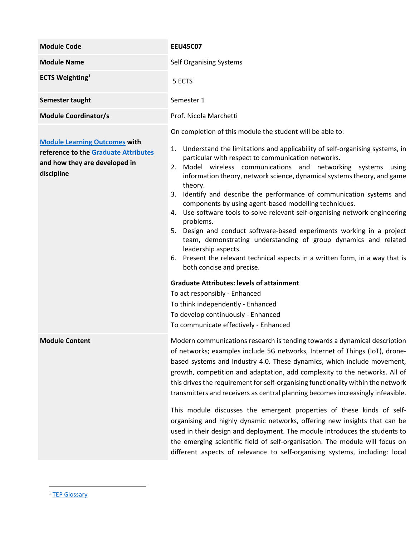| <b>Module Code</b>                                                                                                          | <b>EEU45C07</b>                                                                                                                                                                                                                                                                                                                                                                                                                                                                                                                                                                                                                                                                                                                                                                                                                                                         |  |  |
|-----------------------------------------------------------------------------------------------------------------------------|-------------------------------------------------------------------------------------------------------------------------------------------------------------------------------------------------------------------------------------------------------------------------------------------------------------------------------------------------------------------------------------------------------------------------------------------------------------------------------------------------------------------------------------------------------------------------------------------------------------------------------------------------------------------------------------------------------------------------------------------------------------------------------------------------------------------------------------------------------------------------|--|--|
| <b>Module Name</b>                                                                                                          | Self Organising Systems                                                                                                                                                                                                                                                                                                                                                                                                                                                                                                                                                                                                                                                                                                                                                                                                                                                 |  |  |
| <b>ECTS Weighting</b> <sup>1</sup>                                                                                          | 5 ECTS                                                                                                                                                                                                                                                                                                                                                                                                                                                                                                                                                                                                                                                                                                                                                                                                                                                                  |  |  |
| Semester taught                                                                                                             | Semester 1                                                                                                                                                                                                                                                                                                                                                                                                                                                                                                                                                                                                                                                                                                                                                                                                                                                              |  |  |
| <b>Module Coordinator/s</b>                                                                                                 | Prof. Nicola Marchetti                                                                                                                                                                                                                                                                                                                                                                                                                                                                                                                                                                                                                                                                                                                                                                                                                                                  |  |  |
| <b>Module Learning Outcomes with</b><br>reference to the Graduate Attributes<br>and how they are developed in<br>discipline | On completion of this module the student will be able to:<br>1. Understand the limitations and applicability of self-organising systems, in<br>particular with respect to communication networks.<br>2. Model wireless communications and networking systems using<br>information theory, network science, dynamical systems theory, and game<br>theory.<br>3. Identify and describe the performance of communication systems and<br>components by using agent-based modelling techniques.<br>4. Use software tools to solve relevant self-organising network engineering<br>problems.<br>5. Design and conduct software-based experiments working in a project<br>team, demonstrating understanding of group dynamics and related<br>leadership aspects.<br>6. Present the relevant technical aspects in a written form, in a way that is<br>both concise and precise. |  |  |
|                                                                                                                             | <b>Graduate Attributes: levels of attainment</b><br>To act responsibly - Enhanced<br>To think independently - Enhanced<br>To develop continuously - Enhanced<br>To communicate effectively - Enhanced                                                                                                                                                                                                                                                                                                                                                                                                                                                                                                                                                                                                                                                                   |  |  |
| <b>Module Content</b>                                                                                                       | Modern communications research is tending towards a dynamical description<br>of networks; examples include 5G networks, Internet of Things (IoT), drone-<br>based systems and Industry 4.0. These dynamics, which include movement,<br>growth, competition and adaptation, add complexity to the networks. All of<br>this drives the requirement for self-organising functionality within the network<br>transmitters and receivers as central planning becomes increasingly infeasible.                                                                                                                                                                                                                                                                                                                                                                                |  |  |
|                                                                                                                             | This module discusses the emergent properties of these kinds of self-<br>organising and highly dynamic networks, offering new insights that can be<br>used in their design and deployment. The module introduces the students to<br>the emerging scientific field of self-organisation. The module will focus on<br>different aspects of relevance to self-organising systems, including: local                                                                                                                                                                                                                                                                                                                                                                                                                                                                         |  |  |

<sup>1</sup> [TEP Glossary](https://www.tcd.ie/TEP/Council/assets/TEP%20Glossary%20Edition%201%20Decemeber%20circulation1.pdf)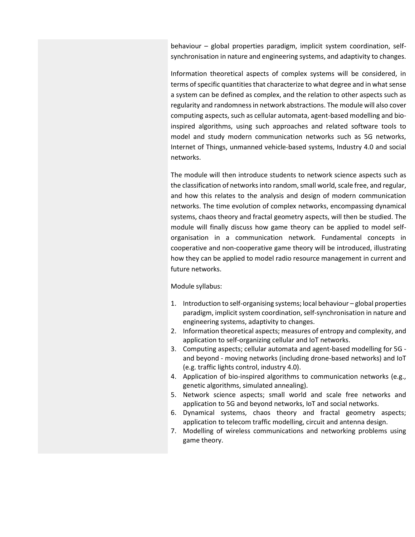behaviour – global properties paradigm, implicit system coordination, selfsynchronisation in nature and engineering systems, and adaptivity to changes.

Information theoretical aspects of complex systems will be considered, in terms of specific quantities that characterize to what degree and in what sense a system can be defined as complex, and the relation to other aspects such as regularity and randomness in network abstractions. The module will also cover computing aspects, such as cellular automata, agent-based modelling and bioinspired algorithms, using such approaches and related software tools to model and study modern communication networks such as 5G networks, Internet of Things, unmanned vehicle-based systems, Industry 4.0 and social networks.

The module will then introduce students to network science aspects such as the classification of networks into random, small world, scale free, and regular, and how this relates to the analysis and design of modern communication networks. The time evolution of complex networks, encompassing dynamical systems, chaos theory and fractal geometry aspects, will then be studied. The module will finally discuss how game theory can be applied to model selforganisation in a communication network. Fundamental concepts in cooperative and non-cooperative game theory will be introduced, illustrating how they can be applied to model radio resource management in current and future networks.

## Module syllabus:

- 1. Introduction to self-organising systems; local behaviour global properties paradigm, implicit system coordination, self-synchronisation in nature and engineering systems, adaptivity to changes.
- 2. Information theoretical aspects; measures of entropy and complexity, and application to self-organizing cellular and IoT networks.
- 3. Computing aspects; cellular automata and agent-based modelling for 5G and beyond - moving networks (including drone-based networks) and IoT (e.g. traffic lights control, industry 4.0).
- 4. Application of bio-inspired algorithms to communication networks (e.g., genetic algorithms, simulated annealing).
- 5. Network science aspects; small world and scale free networks and application to 5G and beyond networks, IoT and social networks.
- 6. Dynamical systems, chaos theory and fractal geometry aspects; application to telecom traffic modelling, circuit and antenna design.
- 7. Modelling of wireless communications and networking problems using game theory.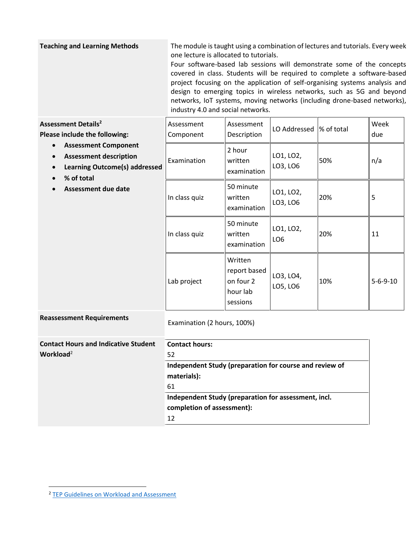**Teaching and Learning Methods** The module is taught using a combination of lectures and tutorials. Every week one lecture is allocated to tutorials. Four software-based lab sessions will demonstrate some of the concepts covered in class. Students will be required to complete a software-based project focusing on the application of self-organising systems analysis and design to emerging topics in wireless networks, such as 5G and beyond networks, IoT systems, moving networks (including drone-based networks), industry 4.0 and social networks.

<span id="page-2-0"></span>

| <b>Assessment Details<sup>2</sup></b><br>Please include the following:<br><b>Assessment Component</b><br>$\bullet$<br><b>Assessment description</b><br>$\bullet$<br><b>Learning Outcome(s) addressed</b><br>$\bullet$<br>% of total<br><b>Assessment due date</b> | Assessment<br>Component                                                                | Assessment<br>Description                                    | LO Addressed                 | % of total | Week<br>due      |
|-------------------------------------------------------------------------------------------------------------------------------------------------------------------------------------------------------------------------------------------------------------------|----------------------------------------------------------------------------------------|--------------------------------------------------------------|------------------------------|------------|------------------|
|                                                                                                                                                                                                                                                                   | Examination                                                                            | 2 hour<br>written<br>examination                             | LO1, LO2,<br>LO3, LO6        | 50%        | n/a              |
|                                                                                                                                                                                                                                                                   | In class quiz                                                                          | 50 minute<br>written<br>examination                          | LO1, LO2,<br>LO3, LO6        | 20%        | 5                |
|                                                                                                                                                                                                                                                                   | In class quiz                                                                          | 50 minute<br>written<br>examination                          | LO1, LO2,<br>LO <sub>6</sub> | 20%        | 11               |
|                                                                                                                                                                                                                                                                   | Lab project                                                                            | Written<br>report based<br>on four 2<br>hour lab<br>sessions | LO3, LO4,<br>LO5, LO6        | 10%        | $5 - 6 - 9 - 10$ |
| <b>Reassessment Requirements</b>                                                                                                                                                                                                                                  | Examination (2 hours, 100%)                                                            |                                                              |                              |            |                  |
| <b>Contact Hours and Indicative Student</b><br>Workload <sup>2</sup>                                                                                                                                                                                              | <b>Contact hours:</b><br>52<br>Independent Study (preparation for course and review of |                                                              |                              |            |                  |
|                                                                                                                                                                                                                                                                   | materials):<br>61                                                                      |                                                              |                              |            |                  |
|                                                                                                                                                                                                                                                                   | Independent Study (preparation for assessment, incl.<br>completion of assessment):     |                                                              |                              |            |                  |

12

<sup>&</sup>lt;sup>2</sup> [TEP Guidelines on Workload and Assessment](https://www.tcd.ie/TEP/Council/assets/TEP%20Instructions%20for%20Using%20the%20student%20workload%20mapping%20tool%201.pdf)